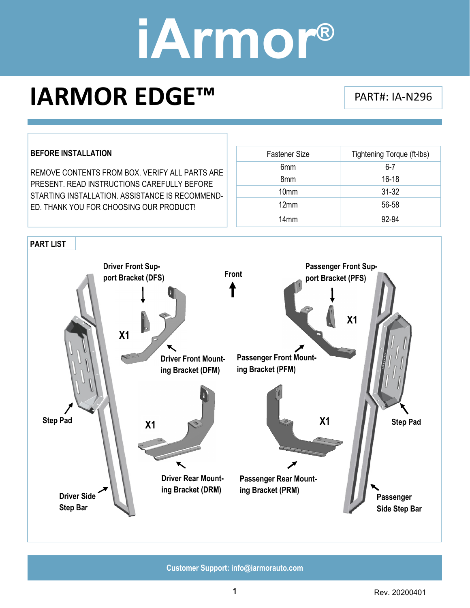### **IARMOR EDGE™** PART#: IA-N296

#### **BEFORE INSTALLATION**

REMOVE CONTENTS FROM BOX. VERIFY ALL PARTS ARE PRESENT. READ INSTRUCTIONS CAREFULLY BEFORE STARTING INSTALLATION. ASSISTANCE IS RECOMMEND-ED. THANK YOU FOR CHOOSING OUR PRODUCT!

| <b>Fastener Size</b> | Tightening Torque (ft-lbs) |
|----------------------|----------------------------|
| 6mm                  | $6 - 7$                    |
| 8 <sub>mm</sub>      | $16 - 18$                  |
| 10 <sub>mm</sub>     | $31 - 32$                  |
| 12mm                 | 56-58                      |
| 14 <sub>mm</sub>     | 92-94                      |

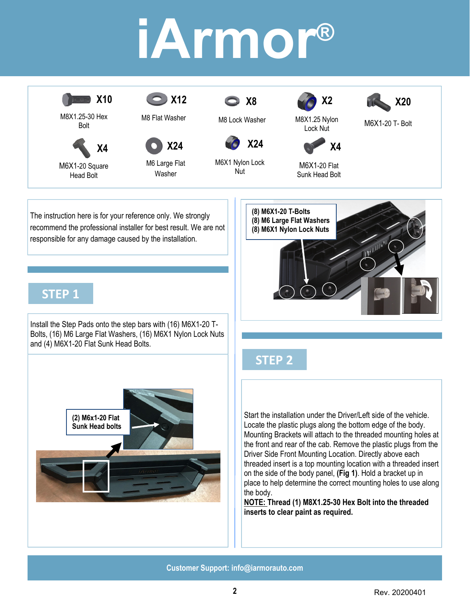

Install the Step Pads onto the step bars with (16) M6X1-20 T-Bolts, (16) M6 Large Flat Washers, (16) M6X1 Nylon Lock Nuts and (4) M6X1-20 Flat Sunk Head Bolts.



#### **STEP 2**

Start the installation under the Driver/Left side of the vehicle. Locate the plastic plugs along the bottom edge of the body. Mounting Brackets will attach to the threaded mounting holes at the front and rear of the cab. Remove the plastic plugs from the Driver Side Front Mounting Location. Directly above each threaded insert is a top mounting location with a threaded insert on the side of the body panel, **(Fig 1)**. Hold a bracket up in place to help determine the correct mounting holes to use along the body.

**NOTE: Thread (1) M8X1.25-30 Hex Bolt into the threaded inserts to clear paint as required.**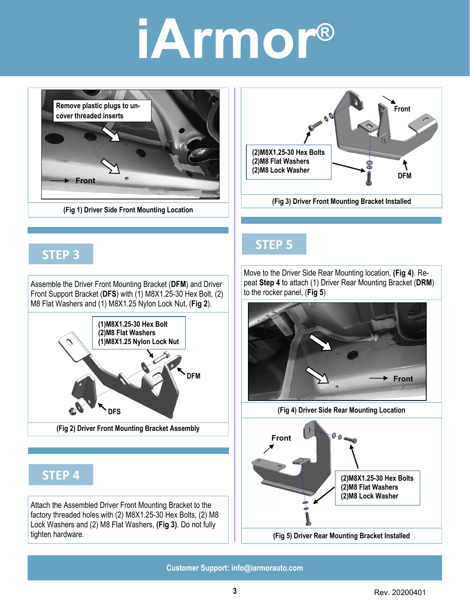**Remove plastic plugs to uncover threaded inserts Front** 

**(Fig 1) Driver Side Front Mounting Location** 

#### **STEP 3**

Assemble the Driver Front Mounting Bracket (**DFM**) and Driver Front Support Bracket (**DFS**) with (1) M8X1.25-30 Hex Bolt, (2) M8 Flat Washers and (1) M8X1.25 Nylon Lock Nut, (**Fig 2**).



### **STEP 4**

Attach the Assembled Driver Front Mounting Bracket to the factory threaded holes with (2) M8X1.25-30 Hex Bolts, (2) M8 Lock Washers and (2) M8 Flat Washers, **(Fig 3)**. Do not fully tighten hardware.



**(2)M8X1.25-30 Hex Bolts (2)M8 Flat Washers** 

Move to the Driver Side Rear Mounting location, **(Fig 4)**. Repeat **Step 4** to attach (1) Driver Rear Mounting Bracket (**DRM**) to the rocker panel, (**Fig 5**)

**(Fig 3) Driver Front Mounting Bracket Installed** 

**Front** 

**(2)M8 Lock Washer DFM DFM** 



**(Fig 4) Driver Side Rear Mounting Location**